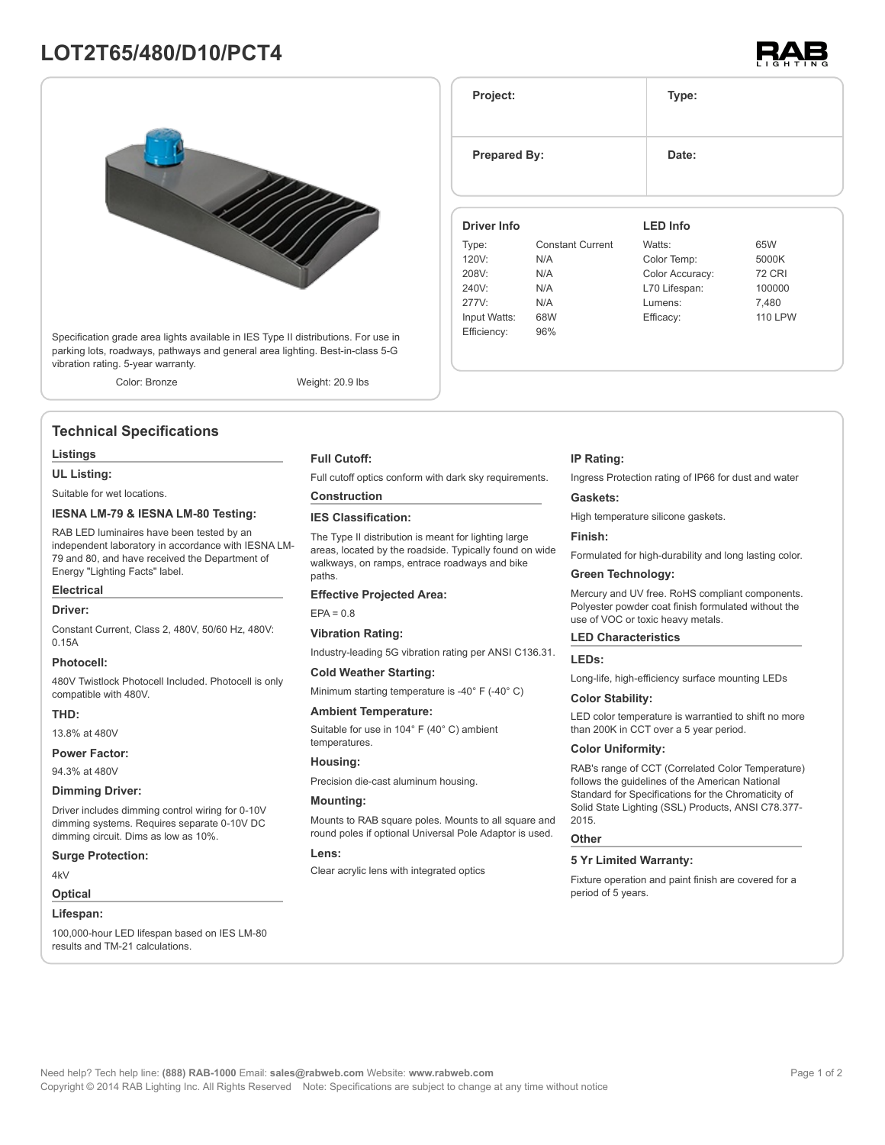# **LOT2T65/480/D10/PCT4**



Specification grade area lights available in IES Type II distributions. For use in parking lots, roadways, pathways and general area lighting. Best-in-class 5-G vibration rating. 5-year warranty.

Color: Bronze Weight: 20.9 lbs

**Technical Specifications**

# **Listings**

**UL Listing:**

Suitable for wet locations.

# **IESNA LM-79 & IESNA LM-80 Testing:**

RAB LED luminaires have been tested by an independent laboratory in accordance with IESNA LM-79 and 80, and have received the Department of Energy "Lighting Facts" label.

# **Electrical**

#### **Driver:**

Constant Current, Class 2, 480V, 50/60 Hz, 480V: 0.15A

### **Photocell:**

480V Twistlock Photocell Included. Photocell is only compatible with 480V.

# **THD:**

13.8% at 480V

# **Power Factor:**

94.3% at 480V

#### **Dimming Driver:**

Driver includes dimming control wiring for 0-10V dimming systems. Requires separate 0-10V DC dimming circuit. Dims as low as 10%.

#### **Surge Protection:**

4kV

# **Optical**

#### **Lifespan:**

100,000-hour LED lifespan based on IES LM-80 results and TM-21 calculations.

#### **Full Cutoff:**

Full cutoff optics conform with dark sky requirements.

# **Construction**

# **IES Classification:**

The Type II distribution is meant for lighting large areas, located by the roadside. Typically found on wide walkways, on ramps, entrace roadways and bike paths

#### **Effective Projected Area:**

 $FPA = 0.8$ 

#### **Vibration Rating:**

Industry-leading 5G vibration rating per ANSI C136.31.

#### **Cold Weather Starting:**

Minimum starting temperature is -40° F (-40° C)

#### **Ambient Temperature:**

Suitable for use in 104° F (40° C) ambient temperatures.

# **Housing:**

Precision die-cast aluminum housing.

### **Mounting:**

Mounts to RAB square poles. Mounts to all square and round poles if optional Universal Pole Adaptor is used.

#### **Lens:**

Clear acrylic lens with integrated optics

# **IP Rating:**

Ingress Protection rating of IP66 for dust and water

### **Gaskets:**

High temperature silicone gaskets.

#### **Finish:**

Formulated for high-durability and long lasting color.

# **Green Technology:**

Mercury and UV free. RoHS compliant components. Polyester powder coat finish formulated without the use of VOC or toxic heavy metals.

### **LED Characteristics**

#### **LEDs:**

Long-life, high-efficiency surface mounting LEDs

#### **Color Stability:**

LED color temperature is warrantied to shift no more than 200K in CCT over a 5 year period.

#### **Color Uniformity:**

RAB's range of CCT (Correlated Color Temperature) follows the guidelines of the American National Standard for Specifications for the Chromaticity of Solid State Lighting (SSL) Products, ANSI C78.377- 2015.

#### **Other**

# **5 Yr Limited Warranty:**

Fixture operation and paint finish are covered for a period of 5 years.



**Project: Type: Prepared By:** Date: **Driver Info** Type: Constant Current 120V: N/A 208V: N/A 240V: N/A 277V: N/A Input Watts: 68W Efficiency: 96% **LED Info** Watts: 65W Color Temp: 5000K Color Accuracy: 72 CRI L70 Lifespan: 100000 Lumens: 7,480 Efficacy: 110 LPW